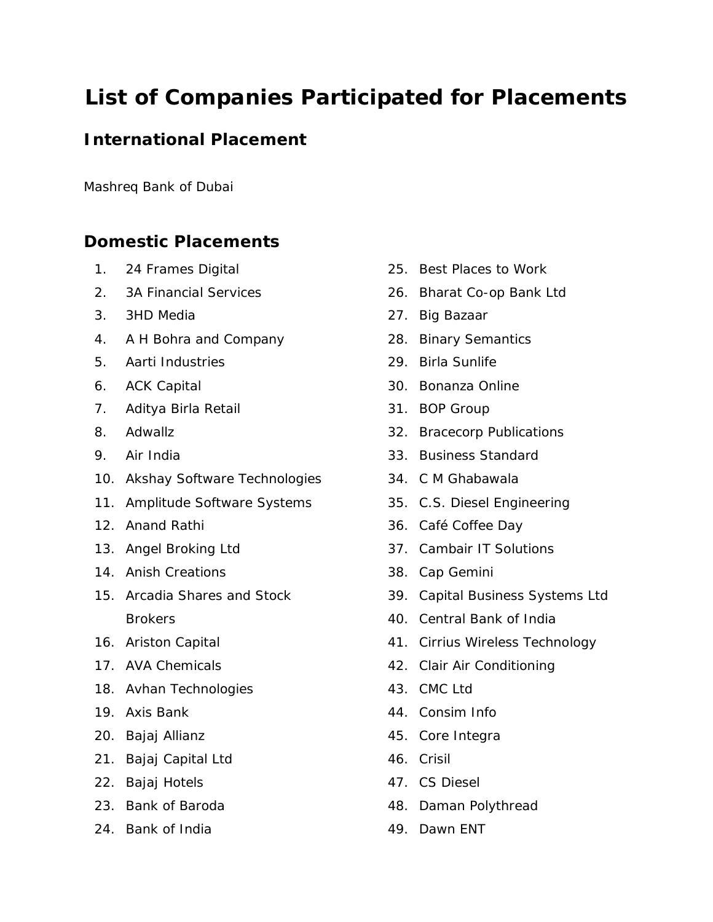## **List of Companies Participated for Placements**

## **International Placement**

Mashreq Bank of Dubai

## **Domestic Placements**

- 1. 24 Frames Digital
- 2. 3A Financial Services
- 3. 3HD Media
- 4. A H Bohra and Company
- 5. Aarti Industries
- 6. ACK Capital
- 7. Aditya Birla Retail
- 8. Adwallz
- 9. Air India
- 10. Akshay Software Technologies
- 11. Amplitude Software Systems
- 12. Anand Rathi
- 13. Angel Broking Ltd
- 14. Anish Creations
- 15. Arcadia Shares and Stock **Brokers**
- 16. Ariston Capital
- 17. AVA Chemicals
- 18. Avhan Technologies
- 19. Axis Bank
- 20. Bajaj Allianz
- 21. Bajaj Capital Ltd
- 22. Bajaj Hotels
- 23. Bank of Baroda
- 24. Bank of India
- 25. Best Places to Work
- 26. Bharat Co-op Bank Ltd
- 27. Big Bazaar
- 28. Binary Semantics
- 29. Birla Sunlife
- 30. Bonanza Online
- 31. BOP Group
- 32. Bracecorp Publications
- 33. Business Standard
- 34. C M Ghabawala
- 35. C.S. Diesel Engineering
- 36. Café Coffee Day
- 37. Cambair IT Solutions
- 38. Cap Gemini
- 39. Capital Business Systems Ltd
- 40. Central Bank of India
- 41. Cirrius Wireless Technology
- 42. Clair Air Conditioning
- 43. CMC Ltd
- 44. Consim Info
- 45. Core Integra
- 46. Crisil
- 47. CS Diesel
- 48. Daman Polythread
- 49. Dawn ENT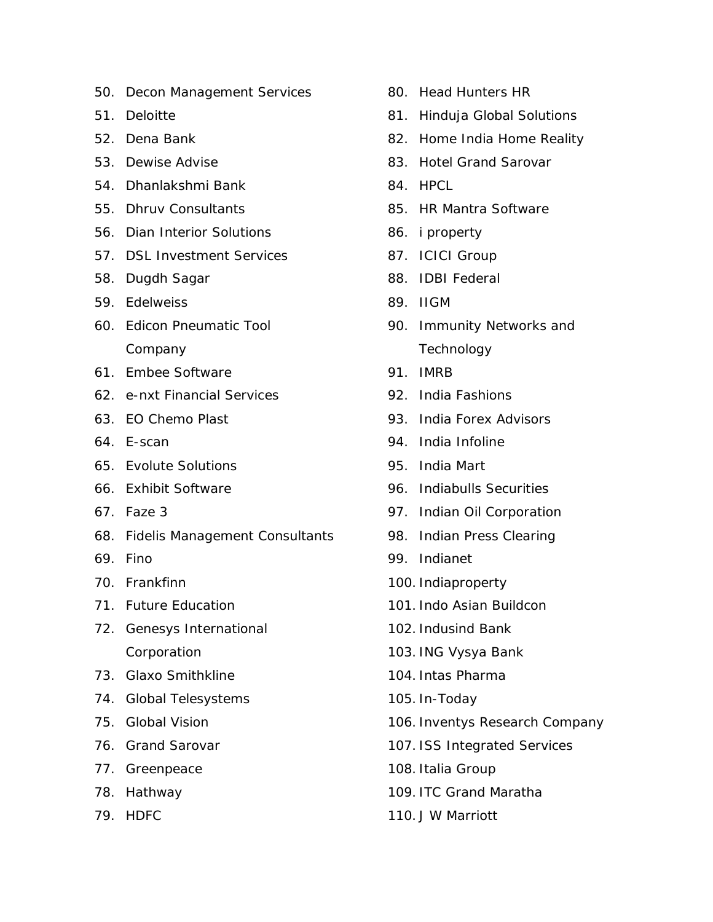- 50. Decon Management Services
- 51. Deloitte
- 52. Dena Bank
- 53. Dewise Advise
- 54. Dhanlakshmi Bank
- 55. Dhruv Consultants
- 56. Dian Interior Solutions
- 57. DSL Investment Services
- 58. Dugdh Sagar
- 59. Edelweiss
- 60. Edicon Pneumatic Tool Company
- 61. Embee Software
- 62. e-nxt Financial Services
- 63. EO Chemo Plast
- 64. E-scan
- 65. Evolute Solutions
- 66. Exhibit Software
- 67. Faze 3
- 68. Fidelis Management Consultants
- 69. Fino
- 70. Frankfinn
- 71. Future Education
- 72. Genesys International Corporation
- 73. Glaxo Smithkline
- 74. Global Telesystems
- 75. Global Vision
- 76. Grand Sarovar
- 77. Greenpeace
- 78. Hathway
- 79. HDFC
- 80. Head Hunters HR
- 81. Hinduja Global Solutions
- 82. Home India Home Reality
- 83. Hotel Grand Sarovar
- 84 HPCL
- 85. HR Mantra Software
- 86. i property
- 87. ICICI Group
- 88. IDBI Federal
- 89. IIGM
- 90. Immunity Networks and **Technology**
- 91. IMRB
- 92. India Fashions
- 93. India Forex Advisors
- 94. India Infoline
- 95. India Mart
- 96. Indiabulls Securities
- 97. Indian Oil Corporation
- 98. Indian Press Clearing
- 99. Indianet
- 100. Indiaproperty
- 101. Indo Asian Buildcon
- 102. Indusind Bank
- 103. ING Vysya Bank
- 104. Intas Pharma
- 105. In-Today
- 106. Inventys Research Company
- 107. ISS Integrated Services
- 108. Italia Group
- 109. ITC Grand Maratha
- 110. J W Marriott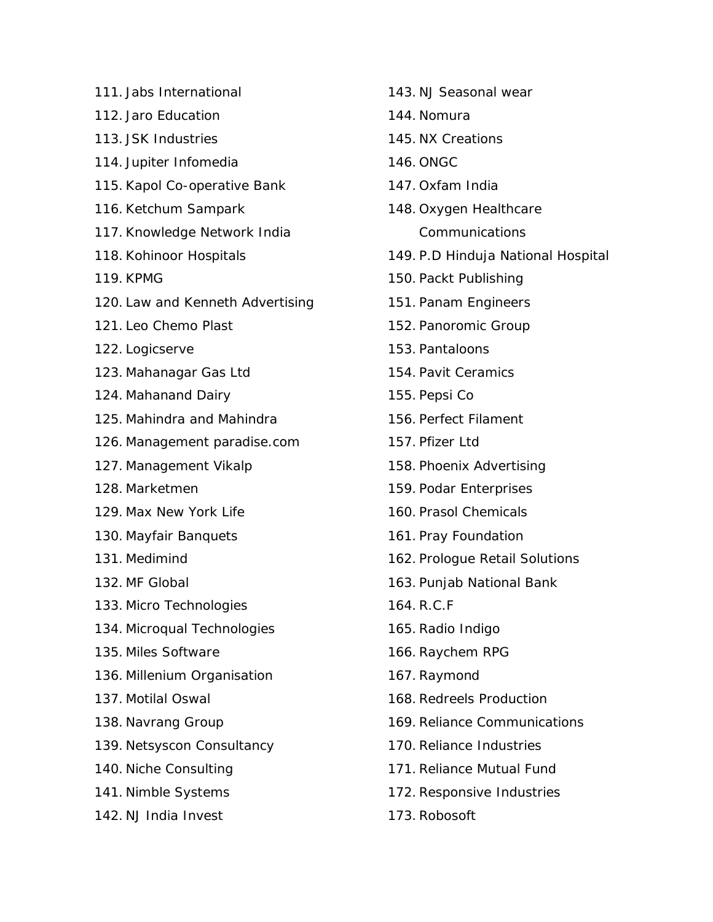- 111. Jabs International
- 112. Jaro Education
- 113. JSK Industries
- 114. Jupiter Infomedia
- 115. Kapol Co-operative Bank
- 116. Ketchum Sampark
- 117. Knowledge Network India
- 118. Kohinoor Hospitals
- 119. KPMG
- 120. Law and Kenneth Advertising
- 121. Leo Chemo Plast
- 122. Logicserve
- 123. Mahanagar Gas Ltd
- 124. Mahanand Dairy
- 125. Mahindra and Mahindra
- 126. Management paradise.com
- 127. Management Vikalp
- 128. Marketmen
- 129. Max New York Life
- 130. Mayfair Banquets
- 131. Medimind
- 132. MF Global
- 133. Micro Technologies
- 134. Microqual Technologies
- 135. Miles Software
- 136. Millenium Organisation
- 137. Motilal Oswal
- 138. Navrang Group
- 139. Netsyscon Consultancy
- 140. Niche Consulting
- 141. Nimble Systems
- 142. NJ India Invest
- 143. NJ Seasonal wear 144. Nomura 145. NX Creations 146. ONGC 147. Oxfam India 148. Oxygen Healthcare Communications 149. P.D Hinduja National Hospital 150. Packt Publishing 151. Panam Engineers 152. Panoromic Group 153. Pantaloons 154. Pavit Ceramics 155. Pepsi Co 156. Perfect Filament 157. Pfizer Ltd 158. Phoenix Advertising 159. Podar Enterprises 160. Prasol Chemicals 161. Pray Foundation 162. Prologue Retail Solutions 163. Punjab National Bank
- 164. R.C.F
- 165. Radio Indigo
- 166. Raychem RPG
- 167. Raymond
- 168. Redreels Production
- 169. Reliance Communications
- 170. Reliance Industries
- 171. Reliance Mutual Fund
- 172. Responsive Industries
- 173. Robosoft